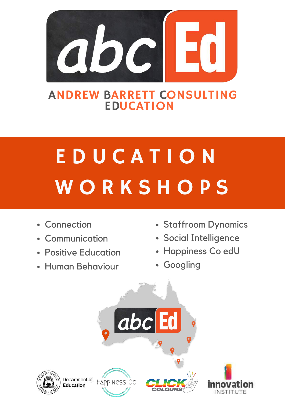

## ANDREW BARRETT CONSULTING EDUCATION

# E D U C A T I O N WORKSHOPS

- Connection
- Communication  $\bullet$
- Positive Education
- Human Behaviour
- Staffroom Dynamics
- Social Intelligence
- Happiness Co edU
- Googling

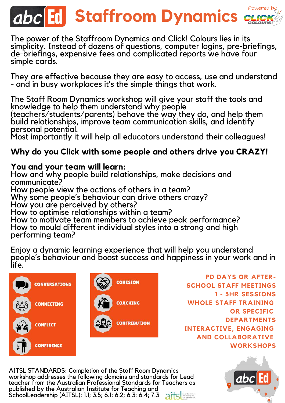## Powered by **Abc Ed Staffroom Dynamics**

The power of the Staffroom Dynamics and Click! Colours lies in its simplicity. Instead of dozens of questions, computer logins, pre-briefings, de-briefings, expensive fees and complicated reports we have four simple cards.

They are effective because they are easy to access, use and understand - and in busy workplaces it's the simple things that work.

The Staff Room Dynamics workshop will give your staff the tools and knowledge to help them understand why people

(teachers/students/parents) behave the way they do, and help them build relationships, improve team communication skills, and identify personal potential.

Most importantly it will help all educators understand their colleagues!

## **Why do you Click with some people and others drive you CRAZY!**

## **You and your team will learn:**

How and why people build relationships, make decisions and communicate?

How people view the actions of others in a team?

Why some people's behaviour can drive others crazy?

How you are perceived by others?

How to optimise relationships within a team?

How to motivate team members to achieve peak performance? How to mould different individual styles into a strong and high performing team?

Enjoy a dynamic learning experience that will help you understand people's behaviour and boost success and happiness in your work and in life.





**PD DAYS OR AFTER-SCHOOL STAFF MEETINGS 1 - 3HR SESSIONS WHOLE STAFF TRAINING OR SPECIFIC DEPARTMENTS INTERACTIVE, ENGAGING AND COLLABORATIVE WORKSHOPS**

AITSL STANDARDS: Completion of the Staff Room Dynamics workshop addresses the following domains and standards for Lead teacher from the Australian Professional Standards for Teachers as published by the Australian Institute for Teaching and SchoolLeadership (AITSL): 1.1; 3.5; 6.1; 6.2; 6.3; 6.4; 7.3 at states

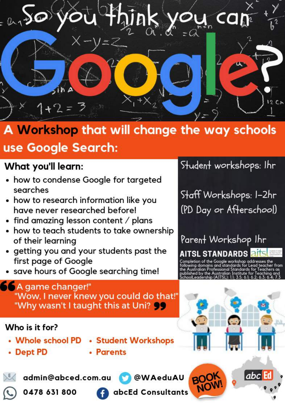

## A Workshop that will change the way schools

## use Google Search:

## What you'll learn:

- how to condense Google for targeted searches
- how to research information like you have never researched before!
- find amazing lesson content  $\prime$  plans
- how to teach students to take ownership of their learning
- getting you and your students past the first page of Google

"Wow, I never knew you could do that!"

save hours of Google searching time!

## Student workshops: Ihr

Staff Workshops: I-2hr (PD Day or Afterschool)

Parent Workshop Ihr AITSL STANDARDS **R** 

the Google workshop addre fessional Standards for Teachers as

 $|abc|$ 

## "Why wasn't I taught this at Uni? 99

A game changer!"

## Who is it for?

- Whole school PD **Student Workshops**
- Dept PD
- Parents

 $E$ admin@abced.com.au





abcEd Consultants

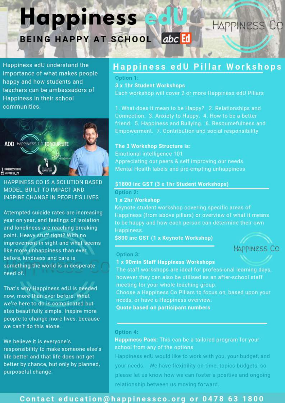## **Happiness** BEING HAPPY AT SCHOOL abc Ed

Happiness edU understand the importance of what makes people happy and how students and teachers can be ambassadors of Happiness in their school communities.



**HAPPINESS CO IS A SOLUTION BASED** MODEL, BUILT TO IMPACT AND INSPIRE CHANGE IN PEOPLE'S LIVES

Attempted suicide rates are increasing year on year, and feelings of isolation and loneliness are reaching breaking point. Heavy stuff right? With no improvement in sight and what seems like more unhappiness than ever before, kindness and care is something the world is in desperate need of.

That's why Happiness edU is needed now, more than ever before. What we're here to do is complicated but also beautifully simple. Inspire more people to change more lives, because we can't do this alone.

We believe it is everyone's responsibility to make someone else's life better and that life does not get better by chance, but only by planned, purposeful change.

## Happiness edU Pillar Workshops

Option 1:

**3 x 1hr Student Workshops** 

Each workshop will cover 2 or more Happiness edU Pillars

1. What does it mean to be Happy? 2. Relationships and Connection 3. Anxiety to Happy. 4. How to be a better friend. 5. Happiness and Bullying. 6. Resourcefulness and Empowerment. 7. Contribution and social responsibility

#### The 3 Workshop Structure is:

Emotional intelligence 101 Appreciating our peers & self improving our needs Mental Health labels and pre-empting unhappiness

#### \$1800 inc GST (3 x 1hr Student Workshops)

#### Option 2:

#### 1 x 2hr Workshop

Keynote student workshop covering specific areas of Happiness (from above pillars) or overview of what it means to be happy and how each person can determine their own Happiness.

\$800 inc GST (1 x Keynote Workshop)



**HAPPINESS CO** 

#### Option 3:

#### 1 x 90min Staff Happiness Workshops

The staff workshops are ideal for professional learning days, however they can also be utilised as an after-school staff meeting for your whole teaching group.

Choose a Happiness Co Pillars to focus on, based upon your needs, or have a Happiness overview.

**Quote based on participant numbers** 

#### Option 4:

Happiness Pack: This can be a tailored program for your school from any of the options

Happiness edU would like to work with you, your budget, and your needs. We have flexibility on time, topics budgets, so please let us know how we can foster a positive and ongoing relationship between us moving forward.

### Contact education@happinessco.org or 0478 63 1800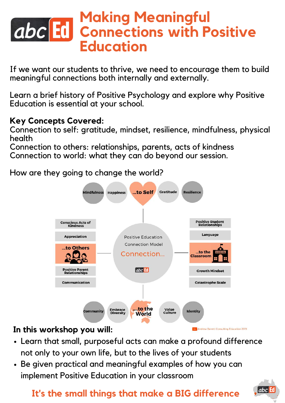## **Making Meaningful Connections** with Positive **Education**

If we want our students to thrive, we need to encourage them to build meaningful connections both internally and externally.

Learn a brief history of Positive Psychology and explore why Positive Education is essential at your school.

## **Key Concepts Covered:**

Connection to self: gratitude, mindset, resilience, mindfulness, physical health

Connection to others: relationships, parents, acts of kindness Connection to world: what they can do beyond our session.

How are they going to change the world?



## **In this workshop you will:**

- Learn that small, purposeful acts can make a profound difference not only to your own life, but to the lives of your students
- Be given practical and meaningful examples of how you can implement Positive Education in your classroom

## **It's the small things that make a BIG difference**



Andrew Barrett Consulting Education 2019